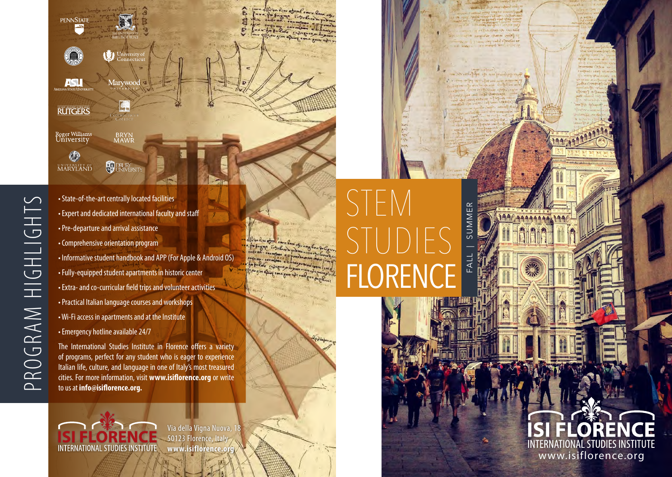

• State-of-the-art centrally located facilities • Expert and dedicated international faculty and staff • Pre-departure and arrival assistance • Comprehensive orientation program • Informative student handbook and APP (For Apple & Android OS) • Fully-equipped student apartments in historic center • Extra- and co-curricular field trips and volunteer activities • Practical Italian language courses and workshops • Wi-Fi access in apartments and at the Institute • Emergency hotline available 24/7 The International Studies Institute in Florence offers a variety

of programs, perfect for any student who is eager to experience Italian life, culture, and language in one of Italy's most treasured cities. For more information, visit **www.isiflorence.org** or write to us at **info@isiflorence.org.**

Via della Vigna Nuova, 1 50123 Florence, Italy **www.isiflorence.org INTERNATIONAL STUDIES INSTITUTE** 

## $\bigcap$ SUMMER FALL | SUMMER STUDIES  $FA$ | FLOREN

www.isiflorence.org

**INTERNATIONAL STUDIES INSTITUTE**